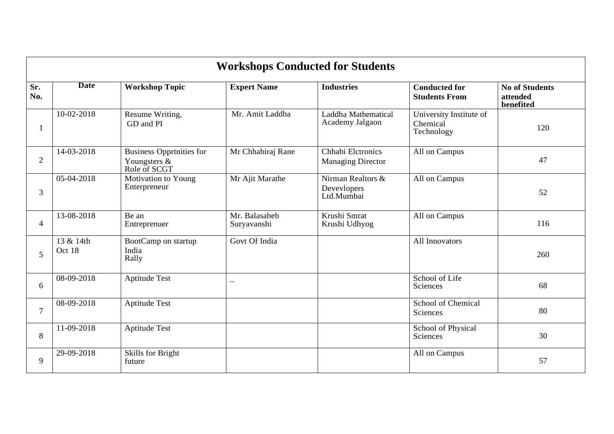|                | <b>Workshops Conducted for Students</b> |                                                                 |                              |                                                |                                                   |                                                |  |  |  |
|----------------|-----------------------------------------|-----------------------------------------------------------------|------------------------------|------------------------------------------------|---------------------------------------------------|------------------------------------------------|--|--|--|
| Sr.<br>No.     | <b>Date</b>                             | <b>Workshop Topic</b>                                           | <b>Expert Name</b>           | <b>Industries</b>                              | <b>Conducted for</b><br><b>Students From</b>      | <b>No of Students</b><br>attended<br>benefited |  |  |  |
|                | 10-02-2018                              | Resume Writing,<br>GD and PI                                    | Mr. Amit Laddha              | Laddha Mathematical<br>Academy Jalgaon         | University Institute of<br>Chemical<br>Technology | 120                                            |  |  |  |
| $\overline{2}$ | 14-03-2018                              | <b>Business Opprtnities for</b><br>Youngsters &<br>Role of SCGT | Mr Chhabiraj Rane            | Chhabi Eletronics<br><b>Managing Director</b>  | All on Campus                                     | 47                                             |  |  |  |
| 3              | 05-04-2018                              | Motivation to Young<br>Enterpreneur                             | Mr Ajit Marathe              | Nirman Realtors &<br>Devevlopers<br>Ltd.Mumbai | All on Campus                                     | 52                                             |  |  |  |
| $\overline{4}$ | 13-08-2018                              | Be an<br>Entreprenuer                                           | Mr. Balasaheb<br>Suryavanshi | Krushi Smrat<br>Krushi Udhyog                  | All on Campus                                     | 116                                            |  |  |  |
| 5              | 13 & 14th<br>Oct 18                     | BootCamp on startup<br>India<br>Rally                           | Govt Of India                |                                                | All Innovators                                    | 260                                            |  |  |  |
| 6              | 08-09-2018                              | <b>Aptitude Test</b>                                            | $\overline{\phantom{0}}$     |                                                | School of Life<br>Sciences                        | 68                                             |  |  |  |
| $\tau$         | 08-09-2018                              | <b>Aptitude Test</b>                                            |                              |                                                | School of Chemical<br>Sciences                    | 80                                             |  |  |  |
| 8              | 11-09-2018                              | <b>Aptitude Test</b>                                            |                              |                                                | School of Physical<br>Sciences                    | 30                                             |  |  |  |
| 9              | 29-09-2018                              | Skills for Bright<br>future                                     |                              |                                                | All on Campus                                     | 57                                             |  |  |  |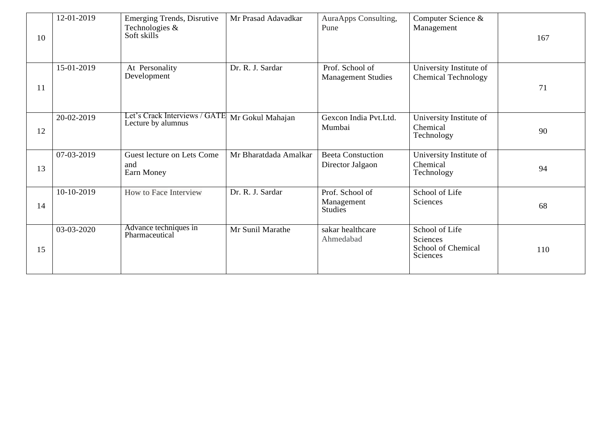| 10 | 12-01-2019 | <b>Emerging Trends, Disrutive</b><br>Technologies &<br>Soft skills | Mr Prasad Adavadkar   | AuraApps Consulting,<br>Pune                 | Computer Science &<br>Management                             | 167 |
|----|------------|--------------------------------------------------------------------|-----------------------|----------------------------------------------|--------------------------------------------------------------|-----|
| 11 | 15-01-2019 | At Personality<br>Development                                      | Dr. R. J. Sardar      | Prof. School of<br><b>Management Studies</b> | University Institute of<br><b>Chemical Technology</b>        | 71  |
| 12 | 20-02-2019 | Let's Crack Interviews / GATE<br>Lecture by alumnus                | Mr Gokul Mahajan      | Gexcon India Pvt.Ltd.<br>Mumbai              | University Institute of<br>Chemical<br>Technology            | 90  |
| 13 | 07-03-2019 | Guest lecture on Lets Come<br>and<br>Earn Money                    | Mr Bharatdada Amalkar | <b>Beeta Constuction</b><br>Director Jalgaon | University Institute of<br>Chemical<br>Technology            | 94  |
| 14 | 10-10-2019 | How to Face Interview                                              | Dr. R. J. Sardar      | Prof. School of<br>Management<br>Studies     | School of Life<br>Sciences                                   | 68  |
| 15 | 03-03-2020 | Advance techniques in<br>Pharmaceutical                            | Mr Sunil Marathe      | sakar healthcare<br>Ahmedabad                | School of Life<br>Sciences<br>School of Chemical<br>Sciences | 110 |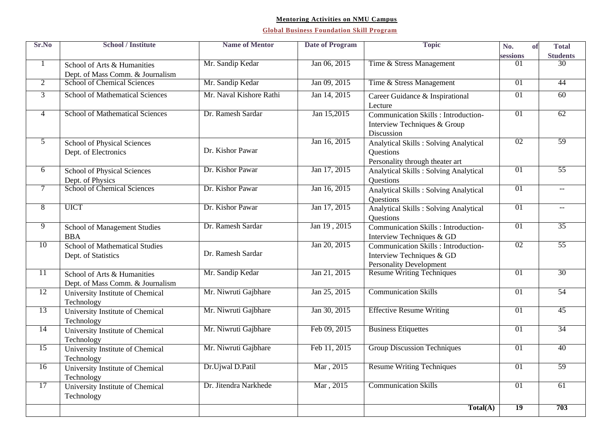### **Mentoring Activities on NMU Campus**

| Sr.No          | <b>School / Institute</b>                       | <b>Name of Mentor</b>   | <b>Date of Program</b> | <b>Topic</b>                                 | No.<br>of       | <b>Total</b>    |
|----------------|-------------------------------------------------|-------------------------|------------------------|----------------------------------------------|-----------------|-----------------|
|                |                                                 |                         |                        |                                              | sessions        | <b>Students</b> |
| $\mathbf{1}$   | School of Arts & Humanities                     | Mr. Sandip Kedar        | Jan 06, 2015           | Time & Stress Management                     | 01              | 30              |
|                | Dept. of Mass Comm. & Journalism                |                         |                        |                                              |                 |                 |
| $\overline{2}$ | School of Chemical Sciences                     | Mr. Sandip Kedar        | Jan 09, 2015           | Time & Stress Management                     | 01              | 44              |
| $\overline{3}$ | <b>School of Mathematical Sciences</b>          | Mr. Naval Kishore Rathi | Jan 14, 2015           | Career Guidance & Inspirational              | $\overline{01}$ | 60              |
|                |                                                 |                         |                        | Lecture                                      |                 |                 |
| $\overline{4}$ | <b>School of Mathematical Sciences</b>          | Dr. Ramesh Sardar       | Jan 15,2015            | <b>Communication Skills : Introduction-</b>  | 01              | 62              |
|                |                                                 |                         |                        | Interview Techniques & Group                 |                 |                 |
|                |                                                 |                         |                        | Discussion                                   |                 |                 |
| $\overline{5}$ | School of Physical Sciences                     |                         | Jan 16, 2015           | <b>Analytical Skills: Solving Analytical</b> | 02              | 59              |
|                | Dept. of Electronics                            | Dr. Kishor Pawar        |                        | <b>Questions</b>                             |                 |                 |
|                |                                                 |                         |                        | Personality through theater art              |                 |                 |
| $\overline{6}$ | School of Physical Sciences                     | Dr. Kishor Pawar        | Jan 17, 2015           | <b>Analytical Skills: Solving Analytical</b> | 01              | 55              |
|                |                                                 |                         |                        | <b>Questions</b>                             |                 |                 |
| $\tau$         | Dept. of Physics<br>School of Chemical Sciences | Dr. Kishor Pawar        | Jan 16, 2015           | <b>Analytical Skills: Solving Analytical</b> | 01              | $-$             |
|                |                                                 |                         |                        | <b>Questions</b>                             |                 |                 |
| $\overline{8}$ | <b>UICT</b>                                     | Dr. Kishor Pawar        | Jan 17, 2015           | <b>Analytical Skills: Solving Analytical</b> | 01              | $- -$           |
|                |                                                 |                         |                        | <b>Ouestions</b>                             |                 |                 |
| $\overline{9}$ | School of Management Studies                    | Dr. Ramesh Sardar       | Jan 19, 2015           | <b>Communication Skills : Introduction-</b>  | 01              | 35              |
|                | <b>BBA</b>                                      |                         |                        | Interview Techniques & GD                    |                 |                 |
| 10             | <b>School of Mathematical Studies</b>           |                         | Jan 20, 2015           | Communication Skills : Introduction-         | 02              | 55              |
|                | Dept. of Statistics                             | Dr. Ramesh Sardar       |                        | Interview Techniques & GD                    |                 |                 |
|                |                                                 |                         |                        | <b>Personality Development</b>               |                 |                 |
| 11             | School of Arts & Humanities                     | Mr. Sandip Kedar        | Jan 21, 2015           | <b>Resume Writing Techniques</b>             | 01              | 30              |
|                | Dept. of Mass Comm. & Journalism                |                         |                        |                                              |                 |                 |
| 12             | University Institute of Chemical                | Mr. Niwruti Gajbhare    | Jan 25, 2015           | <b>Communication Skills</b>                  | 01              | 54              |
|                | Technology                                      |                         |                        |                                              |                 |                 |
| 13             | University Institute of Chemical                | Mr. Niwruti Gajbhare    | Jan 30, 2015           | <b>Effective Resume Writing</b>              | 01              | 45              |
|                | Technology                                      |                         |                        |                                              |                 |                 |
| 14             | University Institute of Chemical                | Mr. Niwruti Gajbhare    | Feb 09, 2015           | <b>Business Etiquettes</b>                   | 01              | 34              |
|                | Technology                                      |                         |                        |                                              |                 |                 |
| 15             | University Institute of Chemical                | Mr. Niwruti Gajbhare    | Feb 11, 2015           | <b>Group Discussion Techniques</b>           | 01              | 40              |
|                | Technology                                      |                         |                        |                                              |                 |                 |
| 16             | University Institute of Chemical                | Dr.Ujwal D.Patil        | Mar, 2015              | <b>Resume Writing Techniques</b>             | 01              | 59              |
|                | Technology                                      |                         |                        |                                              |                 |                 |
| 17             | University Institute of Chemical                | Dr. Jitendra Narkhede   | Mar, 2015              | <b>Communication Skills</b>                  | 01              | 61              |
|                | Technology                                      |                         |                        |                                              |                 |                 |
|                |                                                 |                         |                        | Total(A)                                     | $\overline{19}$ | 703             |
|                |                                                 |                         |                        |                                              |                 |                 |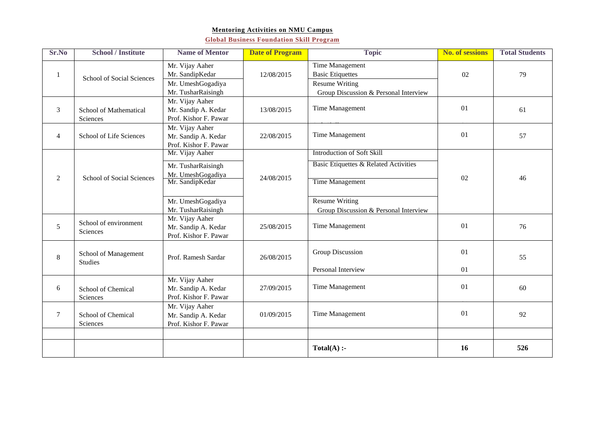#### **Mentoring Activities on NMU Campus**

| Sr.No          | <b>School / Institute</b>              | <b>Name of Mentor</b>                                                                                                    | <b>Date of Program</b> | <b>Topic</b>                                                                                                                                                    | <b>No. of sessions</b> | <b>Total Students</b> |
|----------------|----------------------------------------|--------------------------------------------------------------------------------------------------------------------------|------------------------|-----------------------------------------------------------------------------------------------------------------------------------------------------------------|------------------------|-----------------------|
| 1              | School of Social Sciences              | Mr. Vijay Aaher<br>Mr. SandipKedar<br>Mr. UmeshGogadiya<br>Mr. TusharRaisingh                                            | 12/08/2015             | Time Management<br><b>Basic Etiquettes</b><br><b>Resume Writing</b><br>Group Discussion & Personal Interview                                                    | 02                     | 79                    |
| 3              | School of Mathematical<br>Sciences     | Mr. Vijay Aaher<br>Mr. Sandip A. Kedar<br>Prof. Kishor F. Pawar                                                          | 13/08/2015             | Time Management                                                                                                                                                 | 01                     | 61                    |
| $\overline{4}$ | School of Life Sciences                | Mr. Vijay Aaher<br>Mr. Sandip A. Kedar<br>Prof. Kishor F. Pawar                                                          | 22/08/2015             | <b>Time Management</b>                                                                                                                                          | 01                     | 57                    |
| 2              | School of Social Sciences              | Mr. Vijay Aaher<br>Mr. TusharRaisingh<br>Mr. UmeshGogadiya<br>Mr. SandipKedar<br>Mr. UmeshGogadiya<br>Mr. TusharRaisingh | 24/08/2015             | Introduction of Soft Skill<br>Basic Etiquettes & Related Activities<br><b>Time Management</b><br><b>Resume Writing</b><br>Group Discussion & Personal Interview | 02                     | 46                    |
| 5              | School of environment<br>Sciences      | Mr. Vijay Aaher<br>Mr. Sandip A. Kedar<br>Prof. Kishor F. Pawar                                                          | 25/08/2015             | <b>Time Management</b>                                                                                                                                          | 01                     | 76                    |
| 8              | School of Management<br><b>Studies</b> | Prof. Ramesh Sardar                                                                                                      | 26/08/2015             | Group Discussion<br>Personal Interview                                                                                                                          | 01<br>01               | 55                    |
| 6              | School of Chemical<br>Sciences         | Mr. Vijay Aaher<br>Mr. Sandip A. Kedar<br>Prof. Kishor F. Pawar                                                          | 27/09/2015             | Time Management                                                                                                                                                 | 01                     | 60                    |
| 7              | School of Chemical<br>Sciences         | Mr. Vijay Aaher<br>Mr. Sandip A. Kedar<br>Prof. Kishor F. Pawar                                                          | 01/09/2015             | Time Management                                                                                                                                                 | 01                     | 92                    |
|                |                                        |                                                                                                                          |                        |                                                                                                                                                                 |                        |                       |
|                |                                        |                                                                                                                          |                        | $Total(A)$ :-                                                                                                                                                   | 16                     | 526                   |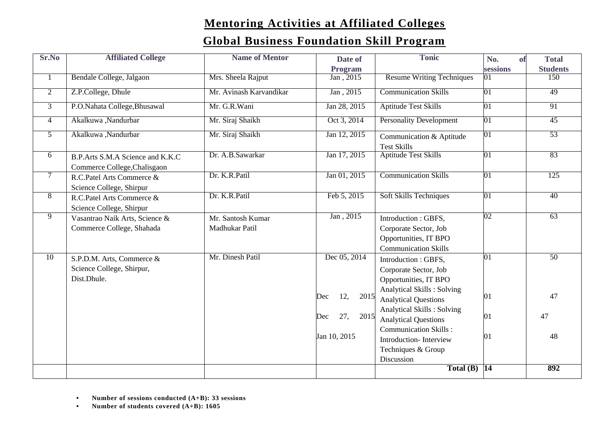# **Mentoring Activities at Affiliated Colleges**

| Sr.No          | <b>Affiliated College</b>                                             | <b>Name of Mentor</b>               | Date of            | <b>Tonic</b>                                                                                                | No.             | <b>Total</b><br>of |
|----------------|-----------------------------------------------------------------------|-------------------------------------|--------------------|-------------------------------------------------------------------------------------------------------------|-----------------|--------------------|
|                |                                                                       |                                     | Program            |                                                                                                             | sessions        | <b>Students</b>    |
| $\mathbf{1}$   | Bendale College, Jalgaon                                              | Mrs. Sheela Rajput                  | Jan, 2015          | <b>Resume Writing Techniques</b>                                                                            | $\overline{01}$ | 150                |
| $\overline{2}$ | Z.P.College, Dhule                                                    | Mr. Avinash Karvandikar             | Jan, 2015          | <b>Communication Skills</b>                                                                                 | 01              | 49                 |
| $\overline{3}$ | P.O.Nahata College, Bhusawal                                          | Mr. G.R. Wani                       | Jan 28, 2015       | <b>Aptitude Test Skills</b>                                                                                 | 01              | 91                 |
| $\overline{4}$ | Akalkuwa ,Nandurbar                                                   | Mr. Siraj Shaikh                    | Oct 3, 2014        | <b>Personality Development</b>                                                                              | $ 01\rangle$    | 45                 |
| $\overline{5}$ | Akalkuwa ,Nandurbar                                                   | Mr. Siraj Shaikh                    | Jan 12, 2015       | Communication & Aptitude<br><b>Test Skills</b>                                                              | $\overline{01}$ | 53                 |
| 6              | B.P.Arts S.M.A Science and K.K.C<br>Commerce College, Chalisgaon      | Dr. A.B.Sawarkar                    | Jan 17, 2015       | <b>Aptitude Test Skills</b>                                                                                 | $ 01\rangle$    | 83                 |
| $\overline{7}$ | R.C.Patel Arts Commerce &<br>Science College, Shirpur                 | Dr. K.R.Patil                       | Jan 01, 2015       | <b>Communication Skills</b>                                                                                 | $\overline{01}$ | 125                |
| $\overline{8}$ | R.C.Patel Arts Commerce &<br>Science College, Shirpur                 | Dr. K.R.Patil                       | Feb 5, 2015        | <b>Soft Skills Techniques</b>                                                                               | $\overline{01}$ | 40                 |
| $\overline{9}$ | Vasantrao Naik Arts, Science &<br>Commerce College, Shahada           | Mr. Santosh Kumar<br>Madhukar Patil | Jan, 2015          | Introduction: GBFS,<br>Corporate Sector, Job<br>Opportunities, IT BPO<br><b>Communication Skills</b>        | 02              | 63                 |
| 10             | S.P.D.M. Arts, Commerce &<br>Science College, Shirpur,<br>Dist.Dhule. | Mr. Dinesh Patil                    | Dec 05, 2014       | Introduction : GBFS,<br>Corporate Sector, Job<br>Opportunities, IT BPO<br><b>Analytical Skills: Solving</b> | 01              | 50                 |
|                |                                                                       |                                     | 12,<br>2015<br>Dec | <b>Analytical Questions</b>                                                                                 | 01              | 47                 |
|                |                                                                       |                                     | 27,<br>2015<br>Dec | <b>Analytical Skills: Solving</b><br><b>Analytical Questions</b>                                            | 01              | 47                 |
|                |                                                                       |                                     | Jan 10, 2015       | <b>Communication Skills:</b><br>Introduction-Interview<br>Techniques & Group<br>Discussion                  | 01              | 48                 |
|                |                                                                       |                                     |                    | Total $(B)$  14                                                                                             |                 | 892                |

- **• Number of sessions conducted (A+B): 33 sessions**
- **• Number of students covered (A+B): 1605**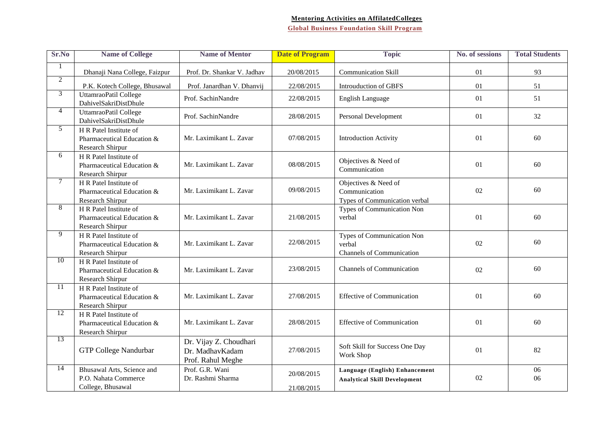### **Mentoring Activities on AffilatedColleges**

| Sr.No          | <b>Name of College</b>                                                   | <b>Name of Mentor</b>                                          | <b>Date of Program</b>   | <b>Topic</b>                                                             | No. of sessions | <b>Total Students</b> |
|----------------|--------------------------------------------------------------------------|----------------------------------------------------------------|--------------------------|--------------------------------------------------------------------------|-----------------|-----------------------|
| $\mathbf{1}$   | Dhanaji Nana College, Faizpur                                            | Prof. Dr. Shankar V. Jadhav                                    | 20/08/2015               | <b>Communication Skill</b>                                               | 01              | 93                    |
| $\overline{2}$ |                                                                          | Prof. Janardhan V. Dhanvii                                     | 22/08/2015               | Introuduction of GBFS                                                    | 01              | 51                    |
| $\overline{3}$ | P.K. Kotech College, Bhusawal<br>UttamraoPatil College                   | Prof. SachinNandre                                             | 22/08/2015               | English Language                                                         | 01              | 51                    |
|                | DahivelSakriDistDhule                                                    |                                                                |                          |                                                                          |                 |                       |
| $\overline{4}$ | UttamraoPatil College<br>DahivelSakriDistDhule                           | Prof. SachinNandre                                             | 28/08/2015               | Personal Development                                                     | 01              | 32                    |
| 5              | H R Patel Institute of<br>Pharmaceutical Education &<br>Research Shirpur | Mr. Laximikant L. Zavar                                        | 07/08/2015               | <b>Introduction Activity</b>                                             | 01              | 60                    |
| 6              | H R Patel Institute of<br>Pharmaceutical Education &<br>Research Shirpur | Mr. Laximikant L. Zavar                                        | 08/08/2015               | Objectives & Need of<br>Communication                                    | 01              | 60                    |
| $\tau$         | H R Patel Institute of<br>Pharmaceutical Education &<br>Research Shirpur | Mr. Laximikant L. Zavar                                        | 09/08/2015               | Objectives & Need of<br>Communication<br>Types of Communication verbal   | 02              | 60                    |
| $\overline{8}$ | H R Patel Institute of<br>Pharmaceutical Education &<br>Research Shirpur | Mr. Laximikant L. Zavar                                        | 21/08/2015               | Types of Communication Non<br>verbal                                     | 01              | 60                    |
| $\overline{9}$ | H R Patel Institute of<br>Pharmaceutical Education &<br>Research Shirpur | Mr. Laximikant L. Zavar                                        | 22/08/2015               | Types of Communication Non<br>verbal<br><b>Channels of Communication</b> | 02              | 60                    |
| 10             | H R Patel Institute of<br>Pharmaceutical Education &<br>Research Shirpur | Mr. Laximikant L. Zavar                                        | 23/08/2015               | <b>Channels of Communication</b>                                         | 02              | 60                    |
| 11             | H R Patel Institute of<br>Pharmaceutical Education &<br>Research Shirpur | Mr. Laximikant L. Zavar                                        | 27/08/2015               | <b>Effective of Communication</b>                                        | 01              | 60                    |
| 12             | H R Patel Institute of<br>Pharmaceutical Education &<br>Research Shirpur | Mr. Laximikant L. Zavar                                        | 28/08/2015               | <b>Effective of Communication</b>                                        | 01              | 60                    |
| 13             | <b>GTP College Nandurbar</b>                                             | Dr. Vijay Z. Choudhari<br>Dr. MadhavKadam<br>Prof. Rahul Meghe | 27/08/2015               | Soft Skill for Success One Day<br>Work Shop                              | 01              | 82                    |
| 14             | Bhusawal Arts, Science and<br>P.O. Nahata Commerce<br>College, Bhusawal  | Prof. G.R. Wani<br>Dr. Rashmi Sharma                           | 20/08/2015<br>21/08/2015 | Language (English) Enhancement<br><b>Analytical Skill Development</b>    | 02              | 06<br>06              |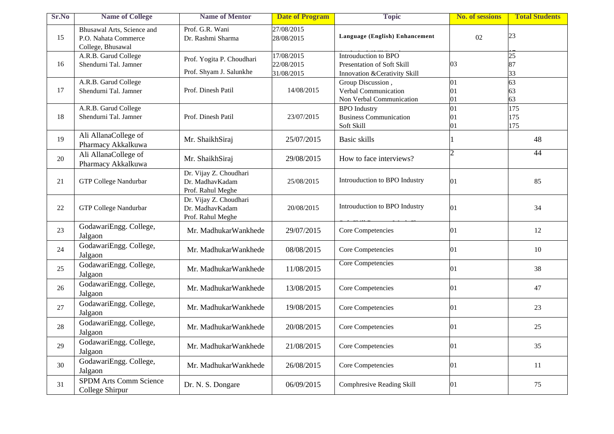| Sr.No | <b>Name of College</b>                                                  | <b>Name of Mentor</b>                                          | <b>Date of Program</b>                 | <b>Topic</b>                                                                        | <b>No. of sessions</b> | <b>Total Students</b> |
|-------|-------------------------------------------------------------------------|----------------------------------------------------------------|----------------------------------------|-------------------------------------------------------------------------------------|------------------------|-----------------------|
| 15    | Bhusawal Arts, Science and<br>P.O. Nahata Commerce<br>College, Bhusawal | Prof. G.R. Wani<br>Dr. Rashmi Sharma                           | 27/08/2015<br>28/08/2015               | Language (English) Enhancement                                                      | 02                     | 23                    |
| 16    | A.R.B. Garud College<br>Shendurni Tal. Jamner                           | Prof. Yogita P. Choudhari<br>Prof. Shyam J. Salunkhe           | 17/08/2015<br>22/08/2015<br>31/08/2015 | Introuduction to BPO<br>Presentation of Soft Skill<br>Innovation & Cerativity Skill | 03                     | 25<br>87<br>33        |
| 17    | A.R.B. Garud College<br>Shendurni Tal. Jamner                           | Prof. Dinesh Patil                                             | 14/08/2015                             | Group Discussion,<br>Verbal Communication<br>Non Verbal Communication               | 01<br>01<br>01         | 63<br>63<br>63        |
| 18    | A.R.B. Garud College<br>Shendurni Tal. Jamner                           | Prof. Dinesh Patil                                             | 23/07/2015                             | <b>BPO</b> Industry<br><b>Business Communication</b><br>Soft Skill                  | 01<br>01<br>01         | 175<br>175<br>175     |
| 19    | Ali AllanaCollege of<br>Pharmacy Akkalkuwa                              | Mr. ShaikhSiraj                                                | 25/07/2015                             | Basic skills                                                                        |                        | 48                    |
| 20    | Ali AllanaCollege of<br>Pharmacy Akkalkuwa                              | Mr. ShaikhSiraj                                                | 29/08/2015                             | How to face interviews?                                                             |                        | 44                    |
| 21    | GTP College Nandurbar                                                   | Dr. Vijay Z. Choudhari<br>Dr. MadhavKadam<br>Prof. Rahul Meghe | 25/08/2015                             | Introuduction to BPO Industry                                                       | 01                     | 85                    |
| 22    | <b>GTP College Nandurbar</b>                                            | Dr. Vijay Z. Choudhari<br>Dr. MadhavKadam<br>Prof. Rahul Meghe | 20/08/2015                             | Introuduction to BPO Industry                                                       | 01                     | 34                    |
| 23    | GodawariEngg. College,<br>Jalgaon                                       | Mr. MadhukarWankhede                                           | 29/07/2015                             | Core Competencies                                                                   | 01                     | 12                    |
| 24    | GodawariEngg. College,<br>Jalgaon                                       | Mr. MadhukarWankhede                                           | 08/08/2015                             | Core Competencies                                                                   | 01                     | 10                    |
| 25    | GodawariEngg. College,<br>Jalgaon                                       | Mr. MadhukarWankhede                                           | 11/08/2015                             | <b>Core Competencies</b>                                                            | 01                     | 38                    |
| 26    | GodawariEngg. College,<br>Jalgaon                                       | Mr. MadhukarWankhede                                           | 13/08/2015                             | Core Competencies                                                                   | 01                     | 47                    |
| 27    | GodawariEngg. College,<br>Jalgaon                                       | Mr. MadhukarWankhede                                           | 19/08/2015                             | Core Competencies                                                                   | 01                     | 23                    |
| 28    | GodawariEngg. College,<br>Jalgaon                                       | Mr. MadhukarWankhede                                           | 20/08/2015                             | Core Competencies                                                                   | 01                     | 25                    |
| 29    | GodawariEngg. College,<br>Jalgaon                                       | Mr. MadhukarWankhede                                           | 21/08/2015                             | Core Competencies                                                                   | 01                     | 35                    |
| 30    | GodawariEngg. College,<br>Jalgaon                                       | Mr. MadhukarWankhede                                           | 26/08/2015                             | Core Competencies                                                                   | 01                     | 11                    |
| 31    | <b>SPDM Arts Comm Science</b><br>College Shirpur                        | Dr. N. S. Dongare                                              | 06/09/2015                             | <b>Comphresive Reading Skill</b>                                                    | 01                     | 75                    |